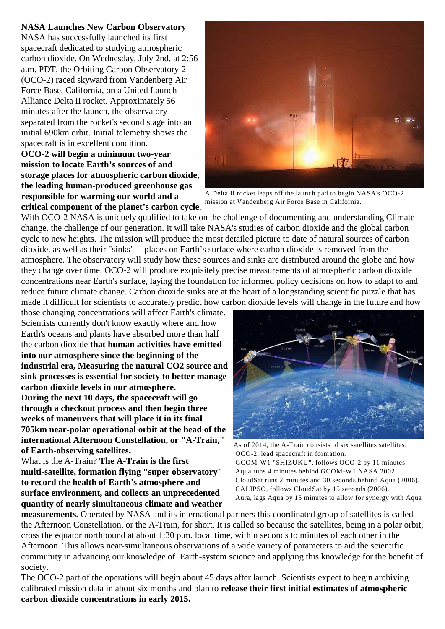## **NASA Launches New Carbon Observatory**

NASA has successfully launched its first spacecraft dedicated to studying atmospheric carbon dioxide. On Wednesday, July 2nd, at 2:56 a.m. PDT, the Orbiting Carbon Observatory-2 (OCO-2) raced skyward from Vandenberg Air Force Base, California, on a United Launch Alliance Delta II rocket. Approximately 56 minutes after the launch, the observatory separated from the rocket's second stage into an initial 690km orbit. Initial telemetry shows the spacecraft is in excellent condition.

**OCO-2 will begin a minimum two-year mission to locate Earth's sources of and storage places for atmospheric carbon dioxide, the leading human-produced greenhouse gas responsible for warming our world and a critical component of the planet's carbon cycle**.



A Delta II rocket leaps off the launch pad to begin NASA's OCO-2 mission at Vandenberg Air Force Base in California.

With OCO-2 NASA is uniquely qualified to take on the challenge of documenting and understanding Climate change, the challenge of our generation. It will take NASA's studies of carbon dioxide and the global carbon cycle to new heights. The mission will produce the most detailed picture to date of natural sources of carbon dioxide, as well as their "sinks" -- places on Earth's surface where carbon dioxide is removed from the atmosphere. The observatory will study how these sources and sinks are distributed around the globe and how they change over time. OCO-2 will produce exquisitely precise measurements of atmospheric carbon dioxide concentrations near Earth's surface, laying the foundation for informed policy decisions on how to adapt to and reduce future climate change. Carbon dioxide sinks are at the heart of a longstanding scientific puzzle that has made it difficult for scientists to accurately predict how carbon dioxide levels will change in the future and how

those changing concentrations will affect Earth's climate. Scientists currently don't know exactly where and how Earth's oceans and plants have absorbed more than half the carbon dioxide **that human activities have emitted into our atmosphere since the beginning of the industrial era, Measuring the natural CO2 source and sink processes is essential for society to better manage carbon dioxide levels in our atmosphere. During the next 10 days, the spacecraft will go through a checkout process and then begin three weeks of maneuvers that will place it in its final**

**705km near-polar operational orbit at the head of the international Afternoon Constellation, or "A-Train," of Earth-observing satellites.** 

What is the A-Train? **The A-Train is the first multi-satellite, formation flying "super observatory" to record the health of Earth's atmosphere and surface environment, and collects an unprecedented quantity of nearly simultaneous climate and weather**



As of 2014, the A-Train consists of six satellites satellites: OCO-2, lead spacecraft in formation. GCOM-W1 "SHIZUKU", follows OCO-2 by 11 minutes. Aqua runs 4 minutes behind GCOM-W1 NASA 2002. CloudSat runs 2 minutes and 30 seconds behind Aqua (2006). CALIPSO, follows CloudSat by 15 seconds (2006). Aura, lags Aqua by 15 minutes to allow for synergy with Aqua

**measurements.** Operated by NASA and its international partners this coordinated group of satellites is called the Afternoon Constellation, or the A-Train, for short. It is called so because the satellites, being in a polar orbit, cross the equator northbound at about 1:30 p.m. local time, within seconds to minutes of each other in the Afternoon. This allows near-simultaneous observations of a wide variety of parameters to aid the scientific community in advancing our knowledge of Earth-system science and applying this knowledge for the benefit of society.

The OCO-2 part of the operations will begin about 45 days after launch. Scientists expect to begin archiving calibrated mission data in about six months and plan to **release their first initial estimates of atmospheric carbon dioxide concentrations in early 2015.**